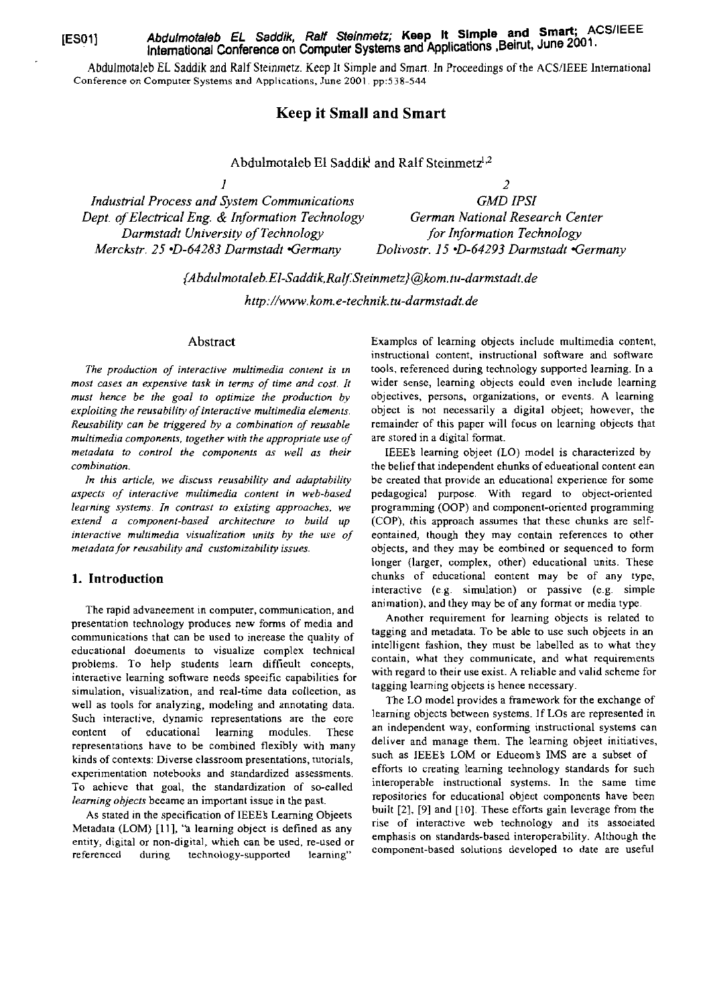# [ESOI] Abdulmotaleb **EL** Saddik, Ralf Steinmetz; **Keep It Slmple and Smart; \*CSllEEE**  lnfernational Conference on Computer Systems and Applications ,Beimt, June 2001.

Abdulmotaleb EL Saddik and Ralf Steinmetz. Keep It Simple and Srnan. In Proceedings of the ACSIIEEE International Conference on Computer Systems and Applications, lune 2001. pp:538-544

## **Keep it Small and Smart**

Abdulmotaleb El Saddik and Ralf Steinmetz<sup>1,2</sup>

*l* 2 *Indushial Process and System Communications GMD IPSI Dept. of Eiechical Eng.* & *Information Technology German National Research Center Darmstadt Universiw of Technology for Information Technology Mercbh. 25 -0-64283 Dannstadt Germany Dolivosh. I5 -0-64293 Darmstadt Germany* 

{Abdulmotaleb.El-Saddik, Ralf.Steinmetz}@kom.tu-darmstadt.de

http://www.kom.e-technik.tu-darmstadt.de

### Abstract

The production of interactive multimedia content is in *most cases an expensive task in terms of time und cosr. II must hence be fhe goal to opiimize fhe production by*  exploiting the reusability of interactive multimedia elements. *Reusability can be triggered by a combination of reusable multimedia componenis. iogether with the appropriate use of metadata to control ihe componenrs as well as their*   $combination$ .

**h** *this article, we discusr reusability und adaptability*  aspects of interactive multimedia content in web-based *learning systems. In contrast to existing approaches, we* extend a component-based architecture to build up interactive multimedia visualization units by the use of *metadatafor reusability und customizability issues.* 

### **1. Introduction**

The rapid advaneement in computer, communication, and presentation technology produces new foms of media and communications that can be used to inerease the quality of educational doeuments to visualize complex technical problems. To help students leam diffieult concepts, interaetive leaming software needs speeific capabilities for simulation, visualization, and real-time data colleetion, as well as tools for analyzing, modeling and annotating data. The LO model provides a framework for the exchange of<br>Such interactive, dynamic representations are the eore an independent way eopforming instructional systems ca Such interactive, dynamic representations are the eore eontent of educational learning modules. These an independent way, eonforming instructional systems can representations have to be combined flexibly with many deliver and manage them. The learning object initiatives,<br>kinds of contexts: Diverse electrone presentations tunning such as IEEE's LOM or Educom's IMS are a subset of kinds of contexts: Diverse classroom presentations, tutorials,<br>experimentation potebooks, and standardized assessments efforts to creating learning teehnology standards for such experimentation notebooks and standardized assessments.<br>To achieve that goal the standardization of so-called interoperable instructional systems. In the same time To aehieve that goal, the standardization of so-ealled interoperable instructional systems. In the same time<br>learning object became an important issue in the past repositories for educational object components have been *learning objects beeame an important issue in the past.* As stated in the specification of IEEE's Learning Objects

Metadata (LOM) [11], "a learning object is defined as any entry, eighth of non-dights, which can be about, to assume for component-based solutions developed to date are useful referenced during technology-supported learning" component-based solutions developed to date are useful

Examplcs of leaming objects include multimedia content, instmctional content, instmctional software and software tools, referenced during technology supported learning. In a wider sense, leaming objects eould even include learning objectives, persons, organizations, or events. **A** leaming object is not necessarily a digital objeet; however, the remainder of this paper will focus on learning objects that are stored in a digital format.

IEEEB leaming objeet (LO) model is characterized by the belief that independent ehunks of edueational content ean be created that provide an educational experience for some pedagogical purpose. With regard to object-oriented programming (OOP) and component-oriented programming (COP), this approach assumes that these chunks are selfeontained, though they may contain references to other objects, and they may be eombined or sequenced to form longer (larger, complex, other) educational units. These chunks of educational eontent may be of any type, interactive (eg. Simulation) or passive (e.g simple animation), and they may be of any format or media type.

Another requirement for learning objects is related to tagging and metadata. To be able to use such objeets in an intelligent fashion, they must be labelled as to what they contain, what they communicate, and what requirements with regard to their use exist. A reliable and valid scheme for tagging leaming objeets is henee necessary.

The L0 model provides a framework for the exchange of built [2], [9] and [10]. These efforts gain leverage from the rise of interactive web technology and its assoeiated entity, digital or non-digital, which can be used, re-used or emphasis on standards-based interoperability. Although the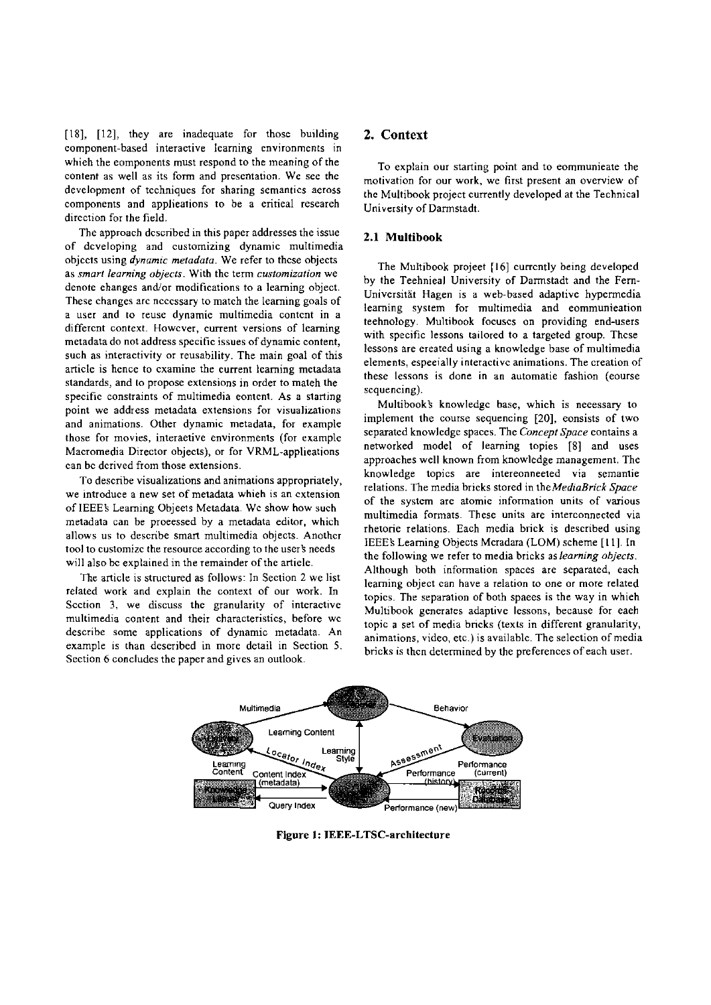[[X], [12], they are inadequate for those building 2. **Context**  eomponent-based interaetive leaming environments in whieh the eomponents must respond to the meaning of the To explain our starting point and to eommunicate the content as well as its form and presentation. We see the motivation for our work, we first present an overview of content as well as its form and presentation. We see the "motivation for our work, we first present an overview of development of techniques for sharing semantics aeross" the Multibook project currently developed at the Te components and applieations to be a eritieal research University of Darmstadt. dircction for the field.

The approach dcscribed in this paper addresses the issue **2.1**  of developing and customizing dynamic multimedia objccts using dynamic mefadata. We refer to thcse objects as smart learning objects. With thc term customization we denote ehanges and/or modifications to a learning object. These changes arc ncccssary to match the leaming goals of a User and to reuse dynamie multimedia contcnt in a different context. Howcver, current versions of leaming metadata do not address specific issues of dynamic content, such as interactivity or reusability. The main goal of this article is hence to cxamine the current leaming metadata standards, and to propose extensions in order to mateh the specific constraints of multimedia eontcnt. As a starting point we address metadata extensions for visualizations and animations. Other dynamic metadata, for example those for movies, interaetive environments (for example Macromedia Director objects), or for VRML-applieations can bc dcrived from those extensions.

To describe visualizations and animations appropriately, we introduce a new set of metadata whieh is an cxtension of IEEE's Learning Objeets Metadata. We show how such metadata can be proeessed by a metadata editor. which allows us to describe smart multimedia objects. Anothcr tool to customize the resource according to the user's needs will also bc explained in the remainder of the artiele.

The article is structured as follows: In Section 2 we list related work and explain the context of our work. In Scction **3,** we discuss the granularity of interaetive multimedia content and their characteristics, before wc describe some applications of dynamic metadata. An example is than deseribed in more detail in Section 5. Section 6 concludes the paper and gives an outlook.

the Multibook project currently developed at the Technical

The Multibook project [16] currently being developed by the Teehnieal University of Darmstadt and the Fem-Universität Hagen is a web-based adaptive hypermedia leaming system for multimedia and eommunieation teehnology. Multibook focuscs an providing end-users with specific lessons tailored to a targeted group. Thcse lessons are ereated using a knowledge base of multimedia elements, espeeially interactivc animations. The creation of these lessons is done in an automatie fashion (eourse scquencing).

MultibookS knowledgc base, which is neeessary to implement the Course sequencing [20], eonsists of two separated knowledge spaces. The Concept Space eontains a networked model of leaming topies [X] and uses approaches well known from knowledge management. The knowledge topics are intereonneeted via semantie relations. The media bricks stored in the MediaBrick Space of the system are atomie information units of various multimedia formats. These units are interconnected via rhetorie relations. Each media brick is described using IEEEB Leaming Objects Mcradara (LOM) scheme [I I]. In the following we refer to media bricks aslearning objects. Although both information spaces are separated. each leaming object can have a relation to one or more related topics. The separation of both spaees is the way in whieh Multibook generates adaptive lessons, because for eaeh topic a set of media bricks (texts in different granularity, animations, video, etc.) is availablc. The selection of media bricks is thcn determined by the preferences of each User.



**Figure 1: IEEE-LTSC-architecture**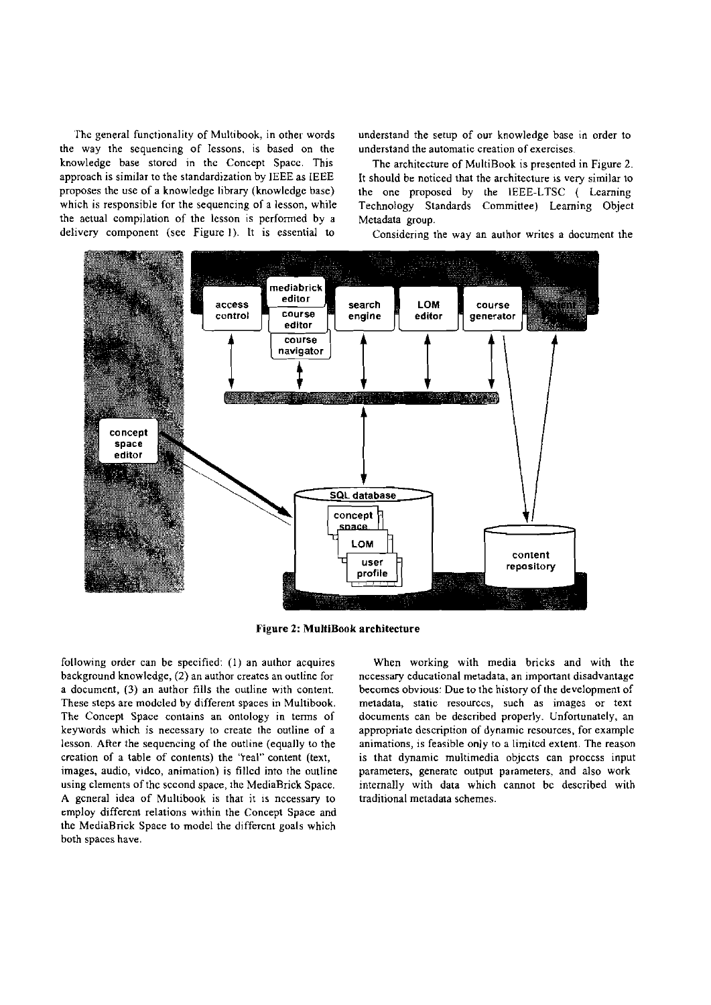Thc general functionality of Multibook, in othei words the way the sequencing of lessons. is based on the knowledge base storcd in thc Concept Spacc. This approach is similar to the standardization by IEEE as IEEE proposes the use of a knowledge library (knowledge base) which is responsible for the sequencing of a lesson, while the aetual compilation of the lesson is perfomed by a delivery component (see Figure 1). It is essential to

understand the setup of our knowledge base in order to understand the automatic creation of exercises.

The architecture of MultiBook is presented in Figure 2. It should be noticed that the architecture is very similar to the one proposed by the IEEE-LTSC ( Learning Technology Standards Committee) Learning Object Metadata group.

Considering the way an author writes a document the



**Figure 2: MultiBook architecture** 

following order can be specified: (1) an author acquires background knowledge, (2) an author creates an outline for a document, (3) an author fills the outline with content. These steps are modcled by different spaces in Multibook. The Concept Space contains an ontology in terms of keywords which is necessary to create the outline of a lesson. After the sequencing of the outline (equally to the creation of a table of contents) the 'real" content (text, images, audio, vidco, animation) is fillcd into rhe outline using clements of thc sccond space, the MediaBrick Space. A gcneral idea of Mullibook is that it is nccessary to employ different relations within the Concept Space and the MediaBrick Space to model the different goals which both spaces have.

When working with media bricks and with the nccessary educational metadata, an important disadvantage becomes obvious: Due to the history of the development of metadata, static resourccs, such as images or text documents can be described properly. Unfortunately, an appropriate description of dynamic resources, for example animations, is feasible only to a limited extent. The reason is that dynamic multimedia objects can process input Parameters, generatc output parameters. and also work internally with data which cannot bc described with traditional metadata schemes.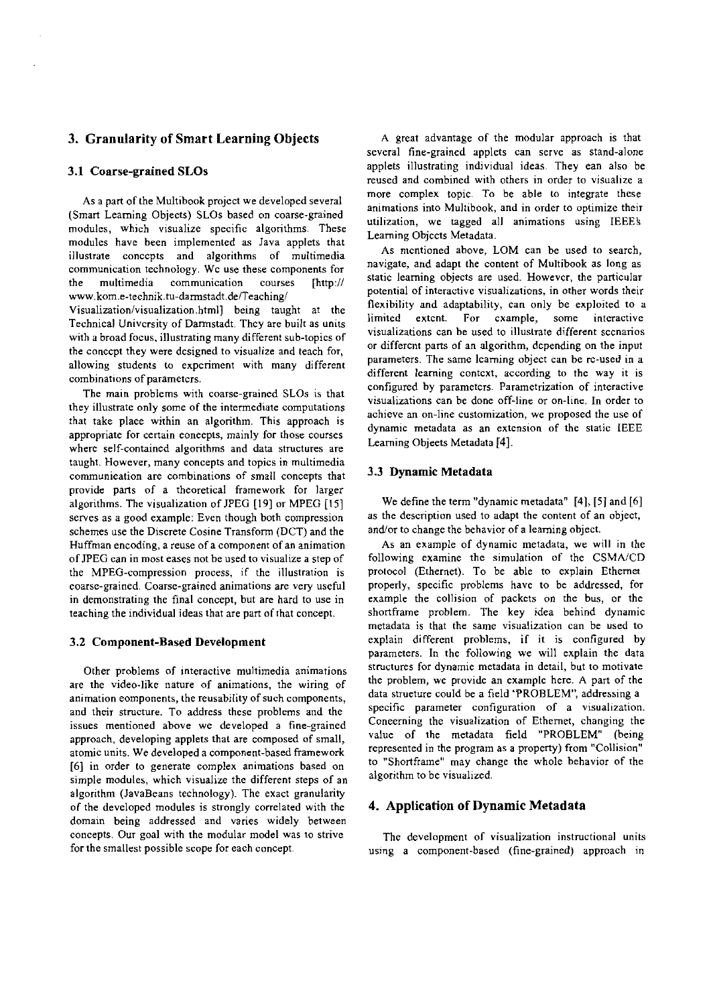## **3. Granularity of Smart Learning Objects**

### **3.1 Coarse-grained SLOs**

As a part of the Multibook project we developed several (Smart Learning Objects) SLOs based on coarse-grained modules, which visualize specific algorithms. These modules have been implemenied as Java applets that illustrate conccpts and algorithms of multimedia communication technology. Wc use these cornponents for the multimedia communication courses  $[http://www.1560]$ www.kom.e-technik.tu-darmstadt.de/Teaching/

**Visualization/visualization.html]** being taught at the Technical Univcrsity of Darmstadt. Thcy are built as units with a broad focus, illustrating many different sub-topics of the conccpt they were dcsigned to visualize and teach for, allowing students to expcriment with many different combinations of parametcrs.

The main problems with coarse-grained SLOs is that they illustrate only some of the intermediate computations that take plaee within an algorithm. This approach is appropriate for certain eoneepts, mainly for those courses where self-contained algorithms and data structures are taught. However, many concepts and topics in multimedia communieation are cornbinations of small concepts that provide pans of a theoretical framework for larger algorithms. The visualization of JPEG [I91 or MPEG **[I51**  serves as a good example: Even though both compression schemes use the Discrete Cosine Transform (DCT) and the Huffman encoding, a reuse of a component of an animation of JPEG can in most eases not be used to visualize a step of the MPEG-compression process, if the illustration is eoarse-grained. Coarse-grained animations are very useful in demonstrating the final concept, but are hard to use in teaching the individual ideas that are part of rhat concept.

### **3.2 Component-Based Development**

Other problems of interactive multimedia animations are the video-like nature of animations, the wiring of animation eomponents, the reusability of such components, and their structure. To address these problems and the issues mentioned above we developed a fine-grained approach, developing applets that are composed of small, atomic units. We developed a component-based framework *[6]* in order to generate complex animations based on simple modules, which visualize the different steps of an algorithm (JavaBeans technology). The exact granularity of the developed modules is strongly correlated with the domain being addressed and varies widely between concepts. Our goal with the modular model was to strive for the smallest possible scope for each concept.

A great advantage of the modular approach is that several fine-grained applets can serve as stand-alone applets illustrating individual ideas. They ean also be reused and combined with others in order to visualize a more complex topic. To be able to integrate these animations into Multibook, and in order to optimize their utilization, we tagged all animations using IEEES Leaming Objccts Metadata.

As mcntioned above, LOM can be used to search, navigate, and adapt the content of Multibook as long as static learning objects are used. Howevcr. the particular potential of interactive visualizations, in other words their flexibility and adaptability, can only be exploited to a limited extcnt. For cxample, some interactive visualizations can be used to illustrate different sccnarios or differcnt parts of an algorithm, dcpending on the input parameters. The same learning object can be rc-used in a different learning contcxt, according to the way it is configured by parameters. Parametrization of interactive visualizations can be done off-line or on-line. In order to achieve an on-line customization, we proposed the use of dynamic metadata as an extension of the static lEEE Leaming Objeets Metadata **[4].** 

### **3.3 Dynamic Metadata**

We define the term "dynamic metadata" **[4], [5]** and **[6]**  as the description used to adapt the content of an object, and/or to change the behavior of a learning object.

As an example of dynamic metadata, we will in ihe following examine the simulation of the CSMA/CD proiocol (Ethernet). To be able to explain Ethemet properly, specific problems have to be addressed, for example the collision of packets on the bus, or the shortframe problem. The key idea behind dynamic metadata is that the same visualization can be used to explain different problems, if it is configured by Parameters. In the following we will explain the data structures for dynamie metadata in detail, but to motivatc the problem, we provide an example here. A part of the data strueture could be a field 'PROBLEM', addressing a specific parameter configuration of a visualization. Coneerning the visualization of Ethemet, changing the value of the metadata field "PROBLEM" (being represented in the program as a property) from "Collision" to "Shortframe" may change the whole behavior of the algorithm tobe visualized.

## **4. Application of Dynamic Metadata**

The development of visualization instructional units using a component-based (fine-grained) approach in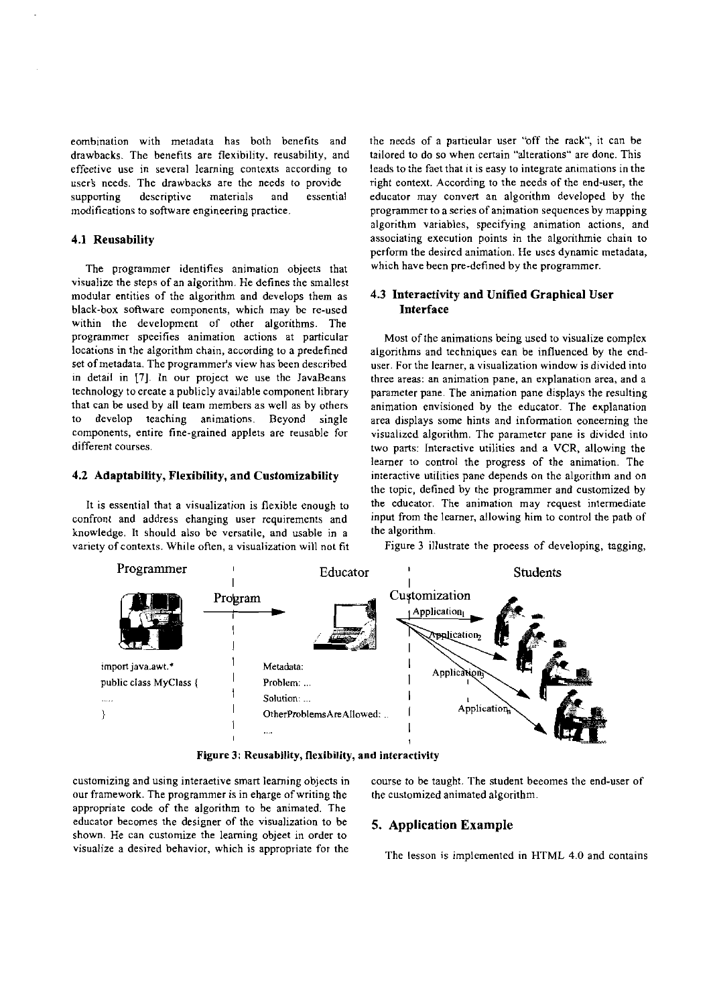eombination with metadata has both benefits and the needs of a partieular user "off the rack", it can be<br>drawbacks. The benefits are flexibility, reusability, and tailored to do so when certain "alterations" are done. This drawbacks. The benefits are flexibility, reusability, and tailored to do so when certain "alterations" are done. This<br>effective use in several learning contexts according to leads to the faet that it is easy to integrate a effeetive use in several learning contexts according to leads to the faet that it is easy to integrate animations in the user's needs. The drawbacks are the needs to provide right eontext. According to the needs of the end user's needs. The drawbacks are the needs to provide supporting descriptive materials and essential educator may convert an algorithm developed by the modifications to software engineering practice.

visualize the steps of an algorithm. He defines the smallest modular entities of the algorithm and develops them as **43 Interactivity and Unified Graphical User**  black-box software eomponents, which may be re-used **Interface**  within the development of other algorithms. The programmer specifies animation actions at particular locations in the algorithm chain, according to a predefined algorithms and techniques ean be influenced by the end-<br>set of metadata. The programmer's view has been described user. For the learner, a visualization window is set of metadata. The programmer's view has been described user. For the learner, a visualization window is divided into in detail in [7]. In our project we use the JavaBeans three areas: an animation pane, an explanation a in detail in [7]. In our project we use the JavaBeans three areas: an animation pane, an explanation area, and a<br>technology to create a publicly available component library parameter pane. The animation pane displays the r that can be used by all team members as well as by others animation envisioned by the educator. The explanation to develop teaching animations. Beyond single area displays some hints and information eoneerning the to develop teaching animations. Beyond single area displays some hints and information eoneerning the components, entire fine-grained applets are reusable for visualized algorithm. The parameter pane is divided into different courses.

confront and address ehanging user requirements and input from the knowledge. It should also be versatile and usable in a the algorithm. knowledge. It should also be versatile, and usable in a variety of contexts. While often, a visualization will not fit Figure 3 illustrate the process of developing, tagging,

programmer to a series of animation sequences by mapping algorithm variables, specifying animation actions, and **4.1 Reusability associating execution points in the algorithmic chain to** perform the desired animation. He uses dynamic metadata, The programmer identifies animation objects that which have been pre-defined by the programmer.

Most of the animations being used to visualize eomplex parameter pane. The animation pane displays the resulting two parts: Interactive utilities and a VCR, allowing the learner to control the progress of the animation. The 4.2 **Adaptability, Flexibility, and Customizability** interactive utilities pane depends on the algorithm and on the topic, defined by the programmer and customized by the educator. The animation may request intermediate It is essential that a visualization is flexible enough to the edueator. The animation may request intermediate<br>It is essential that a visualization is flexible enough to the educator. The learner, allowing him to control



Figure **3:** Reusability, fiexibility, and interactivity

our framework. The programmer is in eharge of writing the the customized animated algorithm. appropriate code of the algorithm to be animated. The educator becomes the designer of the visualization to be **5. Application Example** shown. He can customize the learning object in order to visualize a desired behavior, which is appropriate for the The lesson is implemented in HTML **4.0** and contains

customizing and using interactive smart learning objects in course to be taught. The student becomes the end-user of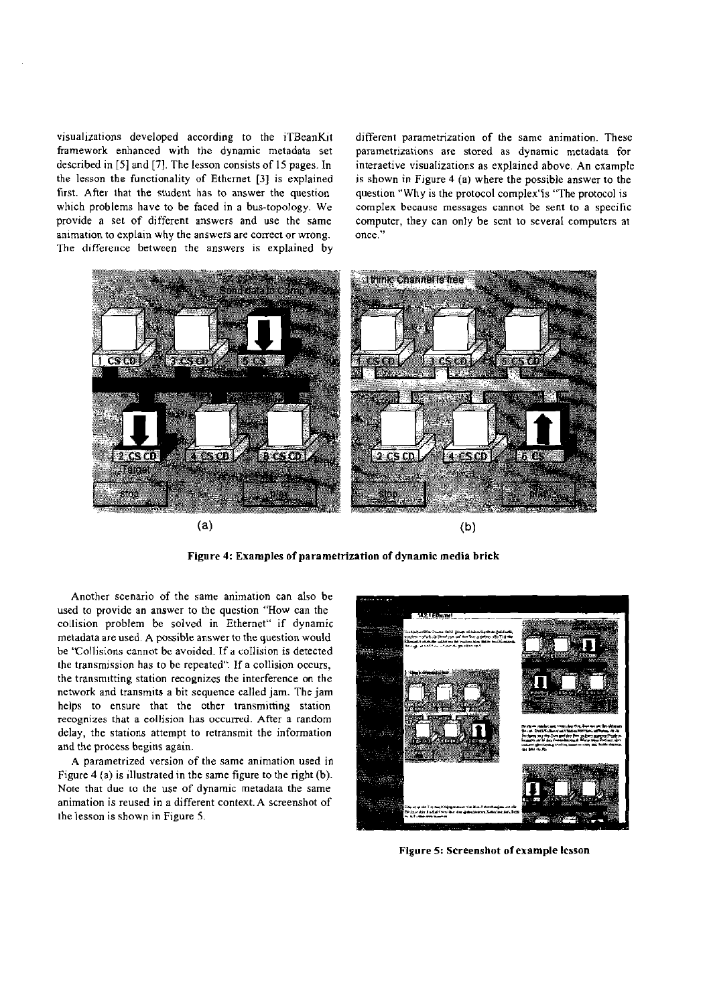visualizations developed according to the iTBeanKit iramework enhanced with the dynamic metadata set descnbed in **[5]** and **[7].** The lesson consists of I5 pages. In the lesson the functionality of Ethemet [3] is explained first. After that the student has to answer the question which problems have to be faced in a bus-topology. We provide a set of different answers and use the same animation to explain why the answers are correct or wrong. The difference between the answers is explained by different parametrization of the same animation. These parametrizations are stored as dynamic metadata for interaetive visualizations as explained above. An example is shown in Figure 4 (a) where the possible answer to the question "Why is the protocol complex's "The protocol is complex becausc messages cannot be sent to a specitic computer, they can only be sent to several computers at once."



Figure 4: Examples of parametrization of dynamic media brick

Another scenario of the same animation can also be used to provide an answer to the question "How can the collision problem be solved in Ethernet" if dynamic metadata are used. A possible answer to the question would be "Collisions cannot be avoided. If **a** collision is detected the transmission has to be repeated': If a collision occurs, the transmitting station recognizes the interference on the network and transmits a bit sequence called jam. The jam helps to ensure that the other transmitting station recognizes that a collision has occurred. After a random delay, the stations attempt to retransmit the information and the process begins again.

**A** parametrized version of the same animation used in Figure 4 (a) is illustrated in the same figure to the right (b). Note that due to the use of dynamic metadata the same animation is reused in a different context. A screenshot of the lesson is shown in Figure **5.** 



Figure 5: Screenshot of example lcsson